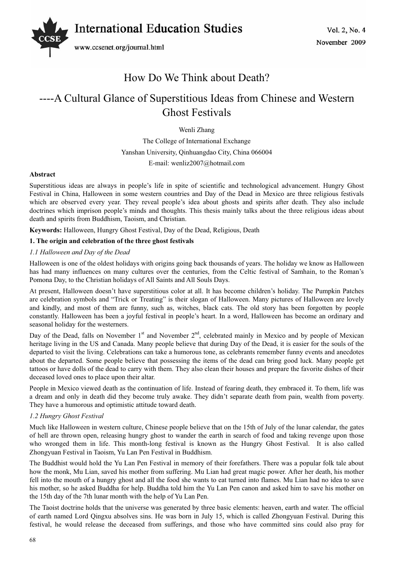# Vol. 2, No. 4 *International Education Studies*



www.ccsenet.org/journal.html

## How Do We Think about Death?

## ----A Cultural Glance of Superstitious Ideas from Chinese and Western Ghost Festivals

## Wenli Zhang

The College of International Exchange Yanshan University, Qinhuangdao City, China 066004 E-mail: wenliz2007@hotmail.com

## **Abstract**

Superstitious ideas are always in people's life in spite of scientific and technological advancement. Hungry Ghost Festival in China, Halloween in some western countries and Day of the Dead in Mexico are three religious festivals which are observed every year. They reveal people's idea about ghosts and spirits after death. They also include doctrines which imprison people's minds and thoughts. This thesis mainly talks about the three religious ideas about death and spirits from Buddhism, Taoism, and Christian.

**Keywords:** Halloween, Hungry Ghost Festival, Day of the Dead, Religious, Death

## **1. The origin and celebration of the three ghost festivals**

## *1.1 Halloween and Day of the Dead*

Halloween is one of the oldest holidays with origins going back thousands of years. The holiday we know as Halloween has had many influences on many cultures over the centuries, from the Celtic festival of Samhain, to the Roman's Pomona Day, to the Christian holidays of All Saints and All Souls Days.

At present, Halloween doesn't have superstitious color at all. It has become children's holiday. The Pumpkin Patches are celebration symbols and "Trick or Treating" is their slogan of Halloween. Many pictures of Halloween are lovely and kindly, and most of them are funny, such as, witches, black cats. The old story has been forgotten by people constantly. Halloween has been a joyful festival in people's heart. In a word, Halloween has become an ordinary and seasonal holiday for the westerners.

Day of the Dead, falls on November 1<sup>st</sup> and November 2<sup>nd</sup>, celebrated mainly in Mexico and by people of Mexican heritage living in the US and Canada. Many people believe that during Day of the Dead, it is easier for the souls of the departed to visit the living. Celebrations can take a humorous tone, as celebrants remember funny events and anecdotes about the departed. Some people believe that possessing the items of the dead can bring good luck. Many people get tattoos or have dolls of the dead to carry with them. They also clean their houses and prepare the favorite dishes of their deceased loved ones to place upon their altar.

People in Mexico viewed death as the continuation of life. Instead of fearing death, they embraced it. To them, life was a dream and only in death did they become truly awake. They didn't separate death from pain, wealth from poverty. They have a humorous and optimistic attitude toward death.

## *1.2 Hungry Ghost Festival*

Much like Halloween in western culture, Chinese people believe that on the 15th of July of the lunar calendar, the gates of hell are thrown open, releasing hungry ghost to wander the earth in search of food and taking revenge upon those who wronged them in life. This month-long festival is known as the Hungry Ghost Festival. It is also called Zhongyuan Festival in Taoism, Yu Lan Pen Festival in Buddhism.

The Buddhist would hold the Yu Lan Pen Festival in memory of their forefathers. There was a popular folk tale about how the monk, Mu Lian, saved his mother from suffering. Mu Lian had great magic power. After her death, his mother fell into the mouth of a hungry ghost and all the food she wants to eat turned into flames. Mu Lian had no idea to save his mother, so he asked Buddha for help. Buddha told him the Yu Lan Pen canon and asked him to save his mother on the 15th day of the 7th lunar month with the help of Yu Lan Pen.

The Taoist doctrine holds that the universe was generated by three basic elements: heaven, earth and water. The official of earth named Lord Qingxu absolves sins. He was born in July 15, which is called Zhongyuan Festival. During this festival, he would release the deceased from sufferings, and those who have committed sins could also pray for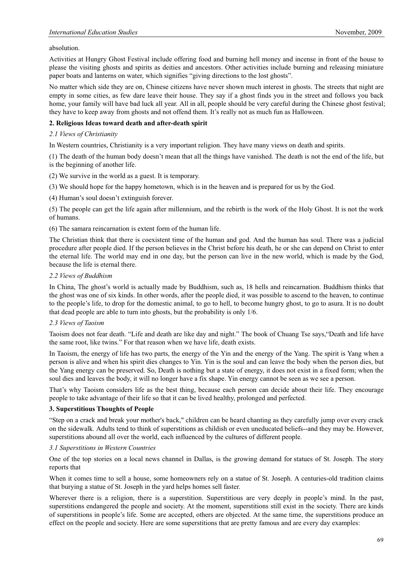absolution.

Activities at Hungry Ghost Festival include offering food and burning hell money and incense in front of the house to please the visiting ghosts and spirits as deities and ancestors. Other activities include burning and releasing miniature paper boats and lanterns on water, which signifies "giving directions to the lost ghosts".

No matter which side they are on, Chinese citizens have never shown much interest in ghosts. The streets that night are empty in some cities, as few dare leave their house. They say if a ghost finds you in the street and follows you back home, your family will have bad luck all year. All in all, people should be very careful during the Chinese ghost festival; they have to keep away from ghosts and not offend them. It's really not as much fun as Halloween.

#### **2. Religious Ideas toward death and after-death spirit**

#### *2.1 Views of Christianity*

In Western countries, Christianity is a very important religion. They have many views on death and spirits.

(1) The death of the human body doesn't mean that all the things have vanished. The death is not the end of the life, but is the beginning of another life.

(2) We survive in the world as a guest. It is temporary.

(3) We should hope for the happy hometown, which is in the heaven and is prepared for us by the God.

(4) Human's soul doesn't extinguish forever.

(5) The people can get the life again after millennium, and the rebirth is the work of the Holy Ghost. It is not the work of humans.

(6) The samara reincarnation is extent form of the human life.

The Christian think that there is coexistent time of the human and god. And the human has soul. There was a judicial procedure after people died. If the person believes in the Christ before his death, he or she can depend on Christ to enter the eternal life. The world may end in one day, but the person can live in the new world, which is made by the God, because the life is eternal there.

## *2.2 Views of Buddhism*

In China, The ghost's world is actually made by Buddhism, such as, 18 hells and reincarnation. Buddhism thinks that the ghost was one of six kinds. In other words, after the people died, it was possible to ascend to the heaven, to continue to the people's life, to drop for the domestic animal, to go to hell, to become hungry ghost, to go to asura. It is no doubt that dead people are able to turn into ghosts, but the probability is only 1/6.

#### *2.3 Views of Taoism*

Taoism does not fear death. "Life and death are like day and night." The book of Chuang Tse says,"Death and life have the same root, like twins." For that reason when we have life, death exists.

In Taoism, the energy of life has two parts, the energy of the Yin and the energy of the Yang. The spirit is Yang when a person is alive and when his spirit dies changes to Yin. Yin is the soul and can leave the body when the person dies, but the Yang energy can be preserved. So, Death is nothing but a state of energy, it does not exist in a fixed form; when the soul dies and leaves the body, it will no longer have a fix shape. Yin energy cannot be seen as we see a person.

That's why Taoism considers life as the best thing, because each person can decide about their life. They encourage people to take advantage of their life so that it can be lived healthy, prolonged and perfected.

#### **3. Superstitious Thoughts of People**

"Step on a crack and break your mother's back," children can be heard chanting as they carefully jump over every crack on the sidewalk. Adults tend to think of superstitions as childish or even uneducated beliefs--and they may be. However, superstitions abound all over the world, each influenced by the cultures of different people.

#### *3.1 Superstitions in Western Countries*

One of the top stories on a local news channel in Dallas, is the growing demand for statues of St. Joseph. The story reports that

When it comes time to sell a house, some homeowners rely on a statue of St. Joseph. A centuries-old tradition claims that burying a statue of St. Joseph in the yard helps homes sell faster.

Wherever there is a religion, there is a superstition. Superstitious are very deeply in people's mind. In the past, superstitions endangered the people and society. At the moment, superstitions still exist in the society. There are kinds of superstitions in people's life. Some are accepted, others are objected. At the same time, the superstitions produce an effect on the people and society. Here are some superstitions that are pretty famous and are every day examples: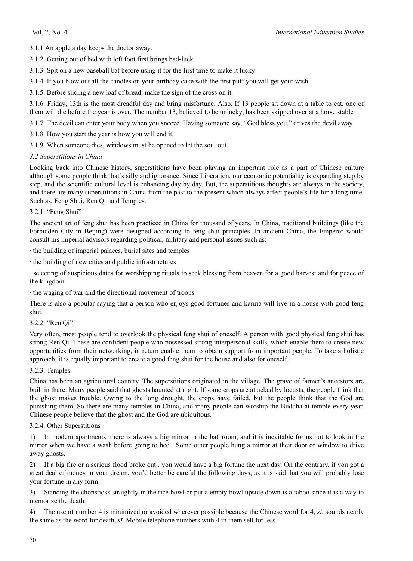3.1.1 An apple a day keeps the doctor away.

3.1.2. Getting out of bed with left foot first brings bad-luck.

3.1.3. Spit on a new baseball bat before using it for the first time to make it lucky.

3.1.4. If you blow out all the candles on your birthday cake with the first puff you will get your wish.

3.1.5. Before slicing a new loaf of bread, make the sign of the cross on it.

3.1.6. Friday, 13th is the most dreadful day and bring misfortune. Also, If 13 people sit down at a table to eat, one of them will die before the year is over. The number 13, believed to be unlucky, has been skipped over at a horse stable

3.1.7. The devil can enter your body when you sneeze. Having someone say, "God bless you," drives the devil away

3.1.8. How you start the year is how you will end it.

3.1.9. When someone dies, windows must be opened to let the soul out.

#### *3.2 Superstitions in China*

Looking back into Chinese history, superstitions have been playing an important role as a part of Chinese culture although some people think that's silly and ignorance. Since Liberation, our economic potentiality is expanding step by step, and the scientific cultural level is enhancing day by day. But, the superstitious thoughts are always in the society, and there are many superstitions in China from the past to the present which always affect people's life for a long time. Such as, Feng Shui, Ren Qi, and Temples.

### 3.2.1. "Feng Shui"

The ancient art of feng shui has been practiced in China for thousand of years. In China, traditional buildings (like the Forbidden City in Beijing) were designed according to feng shui principles. In ancient China, the Emperor would consult his imperial advisors regarding political, military and personal issues such as:

· the building of imperial palaces, burial sites and temples

· the building of new cities and public infrastructures

· selecting of auspicious dates for worshipping rituals to seek blessing from heaven for a good harvest and for peace of the kingdom

· the waging of war and the directional movement of troops

There is also a popular saying that a person who enjoys good fortunes and karma will live in a house with good feng shui.

## 3.2.2. "Ren Qi"

Very often, most people tend to overlook the physical feng shui of oneself. A person with good physical feng shui has strong Ren Qi. These are confident people who possessed strong interpersonal skills, which enable them to create new opportunities from their networking, in return enable them to obtain support from important people. To take a holistic approach, it is equally important to create a good feng shui for the house and also for oneself.

## 3.2.3. Temples

China has been an agricultural country. The superstitions originated in the village. The grave of farmer's ancestors are built in there. Many people said that ghosts haunted at night. If some crops are attacked by locusts, the people think that the ghost makes trouble. Owing to the long drought, the crops have failed, but the people think that the God are punishing them. So there are many temples in China, and many people can worship the Buddha at temple every year. Chinese people believe that the ghost and the God are ubiquitous.

## 3.2.4. Other Superstitions

1) In modern apartments, there is always a big mirror in the bathroom, and it is inevitable for us not to look in the mirror when we have a wash before going to bed . Some other people hung a mirror at their door or window to drive away ghosts.

2) If a big fire or a serious flood broke out , you would have a big fortune the next day. On the contrary, if you got a great deal of money in your dream, you'd better be careful the following days, as it is said that you will probably lose your fortune in any form.

3) Standing the chopsticks straightly in the rice bowl or put a empty bowl upside down is a taboo since it is a way to memorize the death.

4) The use of number 4 is minimized or avoided wherever possible because the Chinese word for 4, *sì*, sounds nearly the same as the word for death, *si*. Mobile telephone numbers with 4 in them sell for less.